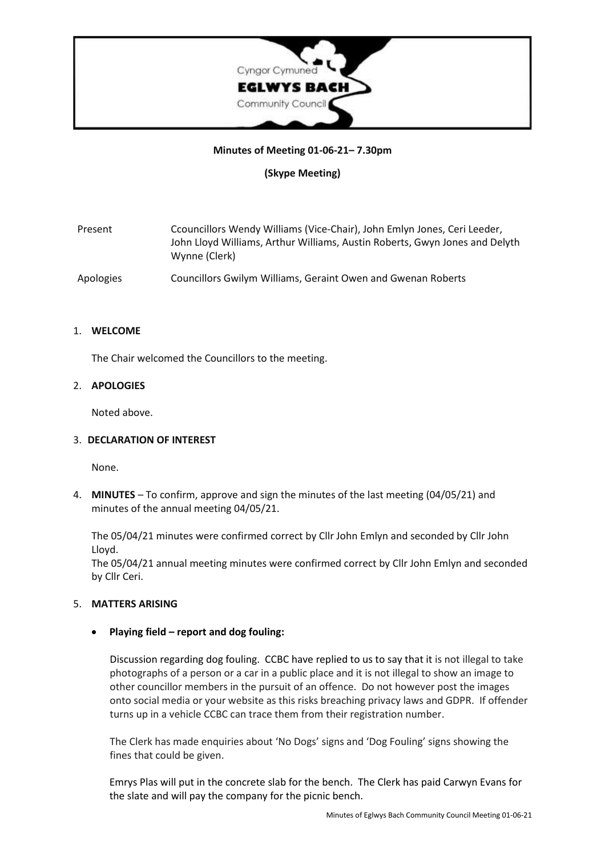

## **Minutes of Meeting 01-06-21– 7.30pm**

**(Skype Meeting)**

| Present   | Ccouncillors Wendy Williams (Vice-Chair), John Emlyn Jones, Ceri Leeder,                     |
|-----------|----------------------------------------------------------------------------------------------|
|           | John Lloyd Williams, Arthur Williams, Austin Roberts, Gwyn Jones and Delyth<br>Wynne (Clerk) |
| Apologies | Councillors Gwilym Williams, Geraint Owen and Gwenan Roberts                                 |

## 1. **WELCOME**

The Chair welcomed the Councillors to the meeting.

## 2. **APOLOGIES**

Noted above.

## 3. **DECLARATION OF INTEREST**

None.

4. **MINUTES** – To confirm, approve and sign the minutes of the last meeting (04/05/21) and minutes of the annual meeting 04/05/21.

The 05/04/21 minutes were confirmed correct by Cllr John Emlyn and seconded by Cllr John Lloyd.

The 05/04/21 annual meeting minutes were confirmed correct by Cllr John Emlyn and seconded by Cllr Ceri.

## 5. **MATTERS ARISING**

# • **Playing field – report and dog fouling:**

Discussion regarding dog fouling. CCBC have replied to us to say that it is not illegal to take photographs of a person or a car in a public place and it is not illegal to show an image to other councillor members in the pursuit of an offence. Do not however post the images onto social media or your website as this risks breaching privacy laws and GDPR. If offender turns up in a vehicle CCBC can trace them from their registration number.

The Clerk has made enquiries about 'No Dogs' signs and 'Dog Fouling' signs showing the fines that could be given.

Emrys Plas will put in the concrete slab for the bench. The Clerk has paid Carwyn Evans for the slate and will pay the company for the picnic bench.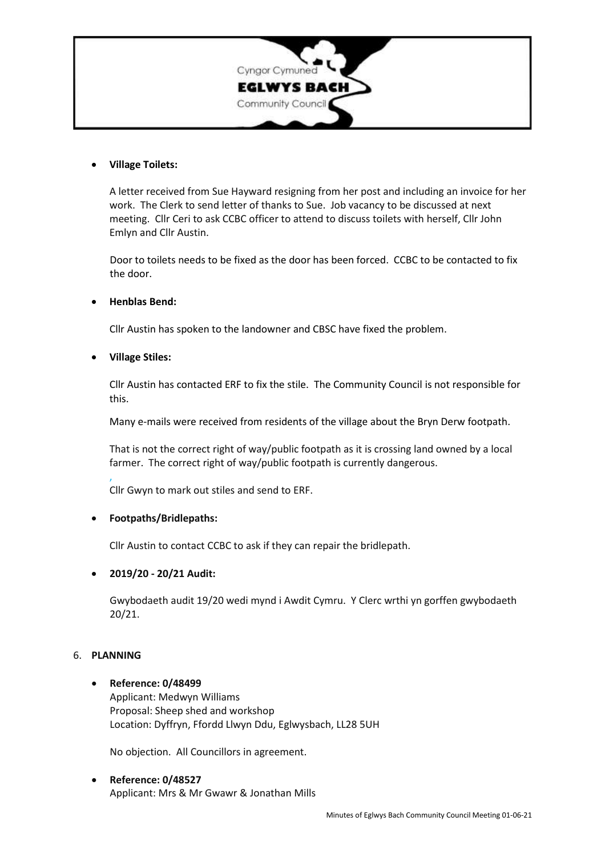

## • **Village Toilets:**

A letter received from Sue Hayward resigning from her post and including an invoice for her work. The Clerk to send letter of thanks to Sue. Job vacancy to be discussed at next meeting. Cllr Ceri to ask CCBC officer to attend to discuss toilets with herself, Cllr John Emlyn and Cllr Austin.

Door to toilets needs to be fixed as the door has been forced. CCBC to be contacted to fix the door.

## • **Henblas Bend:**

Cllr Austin has spoken to the landowner and CBSC have fixed the problem.

#### • **Village Stiles:**

Cllr Austin has contacted ERF to fix the stile. The Community Council is not responsible for this.

Many e-mails were received from residents of the village about the Bryn Derw footpath.

That is not the correct right of way/public footpath as it is crossing land owned by a local farmer. The correct right of way/public footpath is currently dangerous.

, Cllr Gwyn to mark out stiles and send to ERF.

## • **Footpaths/Bridlepaths:**

Cllr Austin to contact CCBC to ask if they can repair the bridlepath.

## • **2019/20 - 20/21 Audit:**

Gwybodaeth audit 19/20 wedi mynd i Awdit Cymru. Y Clerc wrthi yn gorffen gwybodaeth 20/21.

## 6. **PLANNING**

#### • **Reference: 0/48499**

Applicant: Medwyn Williams Proposal: Sheep shed and workshop Location: Dyffryn, Ffordd Llwyn Ddu, Eglwysbach, LL28 5UH

No objection. All Councillors in agreement.

# • **Reference: 0/48527** Applicant: Mrs & Mr Gwawr & Jonathan Mills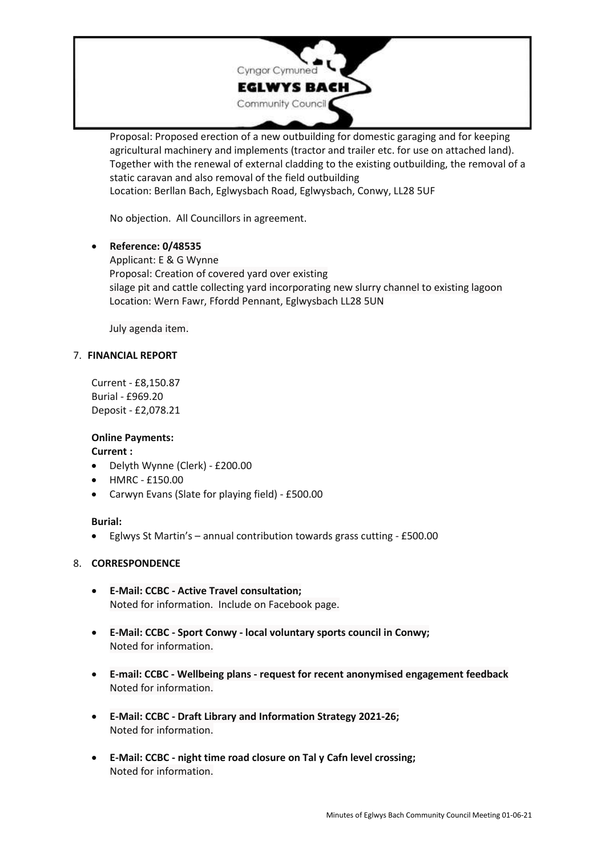

Proposal: Proposed erection of a new outbuilding for domestic garaging and for keeping agricultural machinery and implements (tractor and trailer etc. for use on attached land). Together with the renewal of external cladding to the existing outbuilding, the removal of a static caravan and also removal of the field outbuilding

Location: Berllan Bach, Eglwysbach Road, Eglwysbach, Conwy, LL28 5UF

No objection. All Councillors in agreement.

# • **Reference: 0/48535**

Applicant: E & G Wynne Proposal: Creation of covered yard over existing silage pit and cattle collecting yard incorporating new slurry channel to existing lagoon Location: Wern Fawr, Ffordd Pennant, Eglwysbach LL28 5UN

July agenda item.

# 7. **FINANCIAL REPORT**

Current - £8,150.87 Burial - £969.20 Deposit - £2,078.21

# **Online Payments:**

## **Current :**

- Delyth Wynne (Clerk) £200.00
- HMRC £150.00
- Carwyn Evans (Slate for playing field) £500.00

## **Burial:**

• Eglwys St Martin's – annual contribution towards grass cutting - £500.00

# 8. **CORRESPONDENCE**

- **E-Mail: CCBC - Active Travel consultation;** Noted for information. Include on Facebook page.
- **E-Mail: CCBC - Sport Conwy - local voluntary sports council in Conwy;** Noted for information.
- **E-mail: CCBC - Wellbeing plans - request for recent anonymised engagement feedback** Noted for information.
- **E-Mail: CCBC - Draft Library and Information Strategy 2021-26;** Noted for information.
- **E-Mail: CCBC - night time road closure on Tal y Cafn level crossing;** Noted for information.